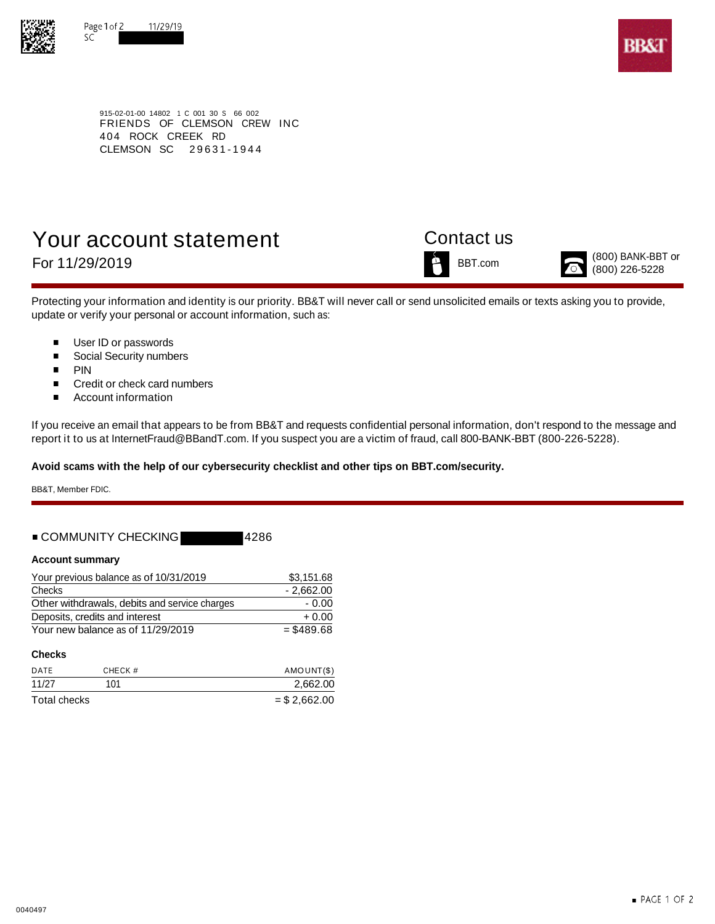



915-02-01-00 14802 1 C 001 30 S 66 002 FRIENDS OF CLEMSON CREW INC 404 ROCK CREEK RD CLEMSON SC 29631-1944

# Your account statement Contact us





For 11/29/2019  $\sum_{(800) \text{ BANK-BBT or}}^{(800) \text{ BANK-BBT or}}$ 

Protecting your information and identity is our priority. BB&T will never call or send unsolicited emails or texts asking you to provide, update or verify your personal or account information, such as:

- $\blacksquare$ User ID or passwords
- $\blacksquare$ Social Security numbers
- $\blacksquare$ PIN
- $\blacksquare$ Credit or check card numbers
- $\blacksquare$ Account information

If you receive an email that appears to be from BB&T and requests confidential personal information, don't respond to the message and report it to us at InternetFraud@BBandT.com. If you suspect you are a victim of fraud, call 800-BANK-BBT (800-226-5228).

**Avoid scams with the help of our cybersecurity checklist and other tips on BBT.com/security.**

BB&T, Member FDIC.

### ■ COMMUNITY CHECKING 4286

### **Account summary**

| Your previous balance as of 10/31/2019        | \$3.151.68   |  |  |
|-----------------------------------------------|--------------|--|--|
| Checks                                        | $-2.662.00$  |  |  |
| Other withdrawals, debits and service charges | - 0.00       |  |  |
| Deposits, credits and interest                | $+0.00$      |  |  |
| Your new balance as of 11/29/2019             | $=$ \$489.68 |  |  |

### **Checks**

| DATE         | CHECK # | AMOUNT(\$)     |
|--------------|---------|----------------|
| 11/27        | 101     | 2,662.00       |
| Total checks |         | $=$ \$2,662.00 |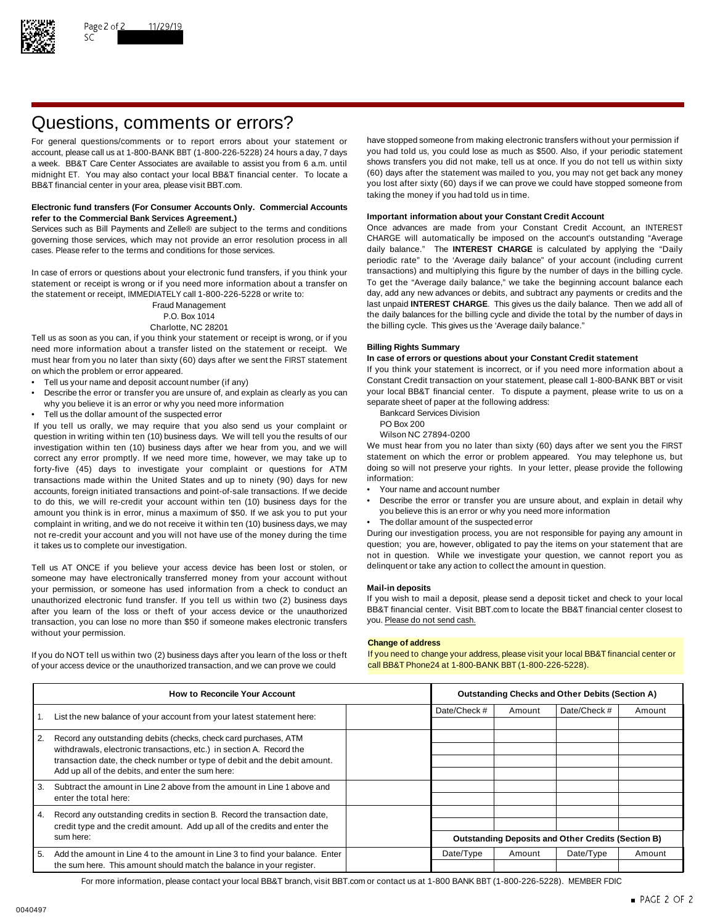

## Questions, comments or errors?

account, please call us at 1-800-BANK BBT (1-800-226-5228) 24 hours a day, 7 days midnight ET. You may also contact your local BB&T financial center. To locate a BB&T financial center in your area, please visit BBT.com. The state of the state of the state of the state of the state of the state of the state of the state of the state of the state of the state of the state of the stat

### **Electronic fund transfers (For Consumer Accounts Only. Commercial Accounts Important information about your Constant Credit Account refer to the Commercial Bank Services Agreement.)**

governing those services, which may not provide an error resolution process in all CHARGE will automatically be imposed on the account's outstanding "Average cases. Please refer to the terms and conditions for those services. daily balance." The **INTEREST CHARGE** is calculated by applying the "Daily

statement or receipt is wrong or if you need more information about a transfer on To get the "Average daily balance," we take the beginning account balance each<br>the statement or receipt IMMFDIATFLY call 1-800-226-5228 or w the statement or receipt, IMMEDIATELY call 1-800-226-5228 or write to:

Tell us as soon as you can, if you think your statement or receipt is wrong, or if you need more information about a transfer listed on the statement or receipt. We **Billing Rights Summary** must hear from you no later than sixty (60) days after we sent the FIRST statement on which the problem or error appeared. If you think your statement is incorrect, or if you need more information about a

- 
- Describe the error or transfer you are unsure of, and explain as clearly as you can your local BB&T financial center. To dispute a why you believe it is an error or why you need more information why you believe it is an error or why you need more information<br>Tell us the dollar amount of the suspected error and the following address Division
- Fell us the dollar amount of the suspected error<br>Vou tell us orally we may require that you also send us your complaint or BO Box 200

If you tell us orally, we may require that you also send us your complaint or PO Box 200<br>question in writing within ten (10) business days. We will tell you the results of our Wilson NC 27894-0200 question in writing within ten (10) business days. We will tell you the results of our Wilson NC 27894-0200<br>investigation within ten (10) business days after we hear from you, and we will We must hear from you no later tha investigation within ten (10) business days after we hear from you, and we will We must hear from you no later than sixty (60) days after we sent you the FIRST<br>correct any error promptly. If we need more time, however, we correct any error promptly. If we need more time, however, we may take up to statement on which the error or problem appeared. You may telephone us, but If or the endlowing to the more time, however, we may take up to the forty-five (45) days to investigate your complaint or questions for ATM doing so will<br>transactions made within the United States and up to pinety (90) days for new information: transactions made within the United States and up to ninety (90) days for new information:<br>accounts foreign initiated transactions and point-of-sale transactions. If we decide • Your name and account number accounts, foreign initiated transactions and point-of-sale transactions. If we decide to do this, we will re-credit your account within ten (10) business days for the • Describe the error or transfer you are unsure about, and explain in detail why<br>amount you think is in error, minus a maximum of \$50. If we amount you think is in error, minus a maximum of \$50. If we ask you to put your complaint in writing, and we do not receive it within ten (10) business days, we may **•** The dollar amount of the suspected error<br>not re-credit your account and you will not have use of the money during the time During our not re-credit your account and you will not have use of the money during the time

Tell us AT ONCE if you believe your access device has been lost or stolen, or delinquent or take any action to collect the amount in question. someone may have electronically transferred money from your account without your permission, or someone has used information from a check to conduct an **Mail-in deposits** unauthorized electronic fund transfer. If you tell us within two (2) business days If you wish to mail a deposit, please send a deposit ticket and check to your local after vou learn of the loss or theft of your access dev after you learn of the loss or theft of your access device or the unauthorized BB&T financial center. Visit l<br>transaction, you can lose no more than \$50 if someone makes electronic transfers you. Please do not send cash. transaction, you can lose no more than \$50 if someone makes electronic transfers without your permission.

of your access device or the unauthorized transaction, and we can prove we could call BB&T Phone24 at 1-800-BANK BBT (1-800-226-5228).

For general questions/comments or to report errors about your statement or have stopped someone from making electronic transfers without your permission if account please call us at 1-800-BANK BBT (1-800-226-5228) 24 hours a week. BB&T Care Center Associates are available to assist you from 6 a.m. until shows transfers you did not make, tell us at once. If you do not tell us within sixty midnight FT You may also contact your local BB&T finan taking the money if you had told us in time.

Services such as Bill Payments and Zelle® are subject to the terms and conditions Once advances are made from your Constant Credit Account, an INTEREST periodic rate" to the 'Average daily balance" of your account (including current In case of errors or questions about your electronic fund transfers, if you think your transactions) and multiplying this figure by the number of days in the billing cycle.<br>Statement or receipt is wrong or if you need more Fraud Management last unpaid **INTEREST CHARGE**. This gives us the daily balance. Then we add all of P.O. Box 1014 the daily balances for the billing cycle and divide the total by the number of days in Charlotte, NC 28201 **the billing cycle.** This gives us the 'Average daily balance."

Tell us your name and deposit account number (if any)<br>Constant Credit transaction on your statement, please call 1-800-BANK BBT or visit • Constant Credit transaction on your statement, please call 1-800-BANK BBT or visit

- 
- 
- 

- 
- 
- 

it takes us to complete our investigation. The statement of the statement that are question; you are, however, obligated to pay the items on your statement that are not in question. While we investigate your question, we cannot report you as

### **Change of address**

If you do NOT tell us within two (2) business days after you learn of the loss or theft If you need to change your address, please visit your local BB&T financial center or

| <b>How to Reconcile Your Account</b>                                       |                                                                                                                                | <b>Outstanding Checks and Other Debits (Section A)</b> |                                                           |        |              |        |
|----------------------------------------------------------------------------|--------------------------------------------------------------------------------------------------------------------------------|--------------------------------------------------------|-----------------------------------------------------------|--------|--------------|--------|
|                                                                            | List the new balance of your account from your latest statement here:                                                          |                                                        | Date/Check #                                              | Amount | Date/Check # | Amount |
|                                                                            |                                                                                                                                |                                                        |                                                           |        |              |        |
| 2.                                                                         | Record any outstanding debits (checks, check card purchases, ATM                                                               |                                                        |                                                           |        |              |        |
|                                                                            | withdrawals, electronic transactions, etc.) in section A. Record the                                                           |                                                        |                                                           |        |              |        |
|                                                                            | transaction date, the check number or type of debit and the debit amount.<br>Add up all of the debits, and enter the sum here: |                                                        |                                                           |        |              |        |
|                                                                            |                                                                                                                                |                                                        |                                                           |        |              |        |
| 3.                                                                         | Subtract the amount in Line 2 above from the amount in Line 1 above and                                                        |                                                        |                                                           |        |              |        |
|                                                                            | enter the total here:                                                                                                          |                                                        |                                                           |        |              |        |
| 4.                                                                         | Record any outstanding credits in section B. Record the transaction date,                                                      |                                                        |                                                           |        |              |        |
| credit type and the credit amount. Add up all of the credits and enter the |                                                                                                                                |                                                        |                                                           |        |              |        |
|                                                                            | sum here:                                                                                                                      |                                                        | <b>Outstanding Deposits and Other Credits (Section B)</b> |        |              |        |
| 5.                                                                         | Add the amount in Line 4 to the amount in Line 3 to find your balance. Enter                                                   |                                                        | Date/Type                                                 | Amount | Date/Type    | Amount |
| the sum here. This amount should match the balance in your register.       |                                                                                                                                |                                                        |                                                           |        |              |        |

For more information, please contact your local BB&T branch, visit BBT.com or contact us at 1-800 BANK BBT (1-800-226-5228). MEMBER FDIC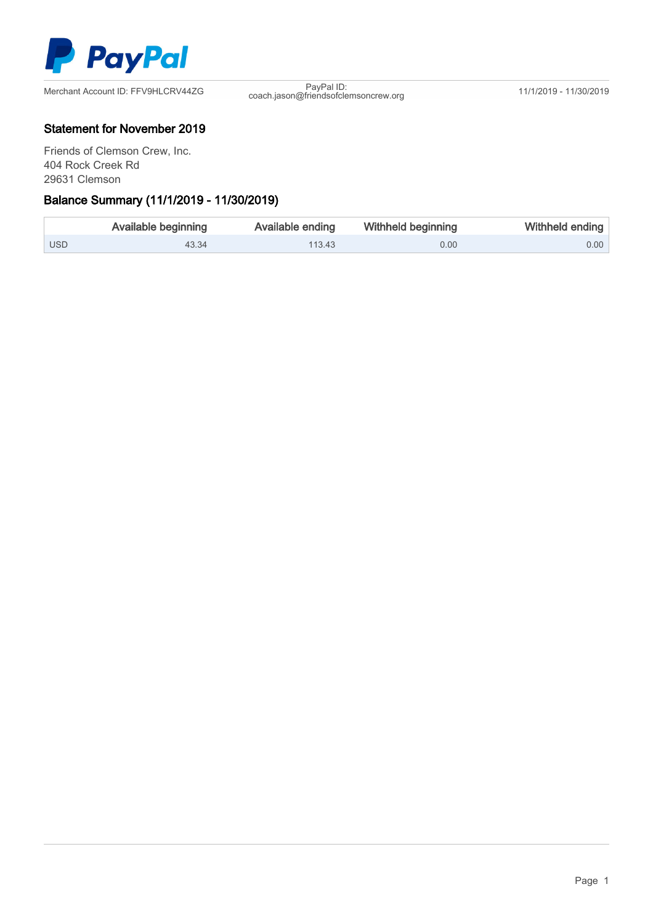

coach.jason@friendsofclemsoncrew.org 11/1/2019 - 11/30/2019

### Statement for November 2019

Friends of Clemson Crew, Inc. 404 Rock Creek Rd 29631 Clemson

### Ξ Balance Summary (11/1/2019 - 11/30/2019)

|            | Available beginning | Available ending | Withheld beginning | Withheld ending |
|------------|---------------------|------------------|--------------------|-----------------|
| <b>USD</b> | 43.34               | 113.43           | 0.00               | $0.00$          |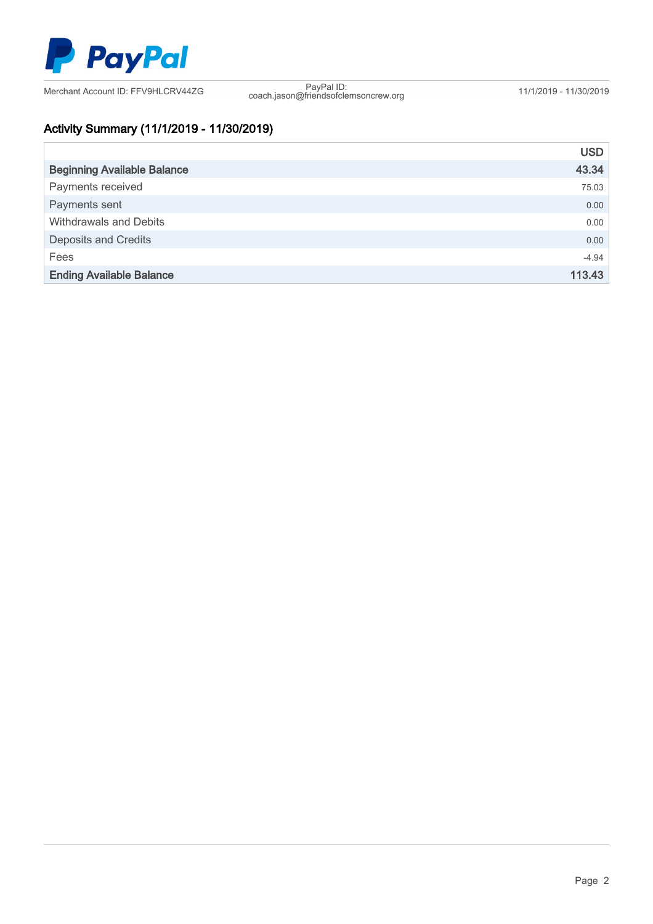

coach.jason@friendsofclemsoncrew.org 11/1/2019 - 11/30/2019

# Activity Summary (11/1/2019 - 11/30/2019)

|                                    | <b>USD</b> |
|------------------------------------|------------|
| <b>Beginning Available Balance</b> | 43.34      |
| Payments received                  | 75.03      |
| Payments sent                      | 0.00       |
| <b>Withdrawals and Debits</b>      | 0.00       |
| <b>Deposits and Credits</b>        | 0.00       |
| Fees                               | $-4.94$    |
| <b>Ending Available Balance</b>    | 113.43     |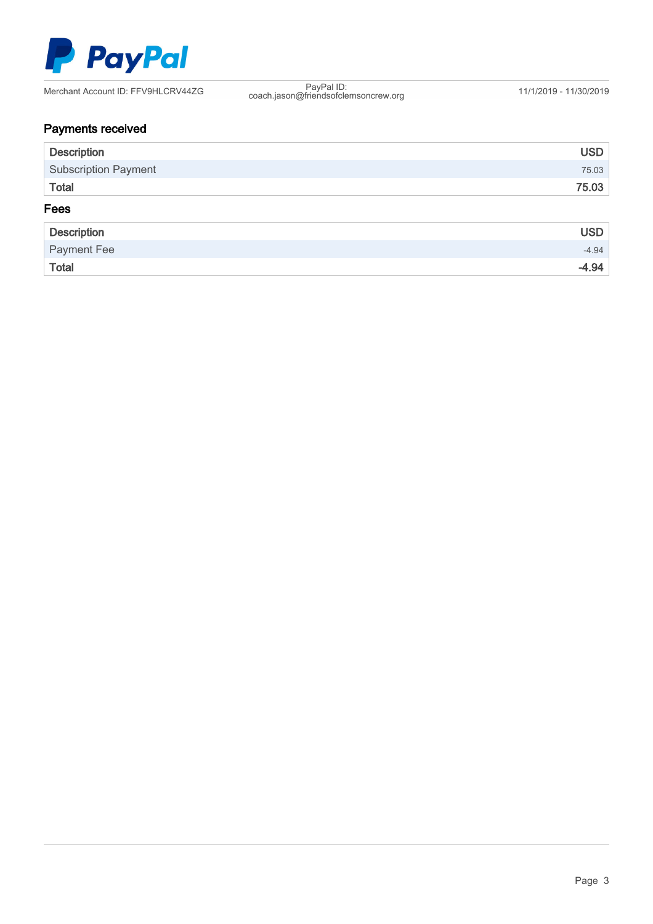

coach.jason@friendsofclemsoncrew.org 11/1/2019 - 11/30/2019

# Payments received

| <b>Description</b>          | <b>USD</b> |
|-----------------------------|------------|
| <b>Subscription Payment</b> | 75.03      |
| <b>Total</b>                | 75.03      |
| Fees                        |            |
| <b>Description</b>          | <b>USD</b> |
| Payment Fee                 | $-4.94$    |
| Total                       | $-4.94$    |